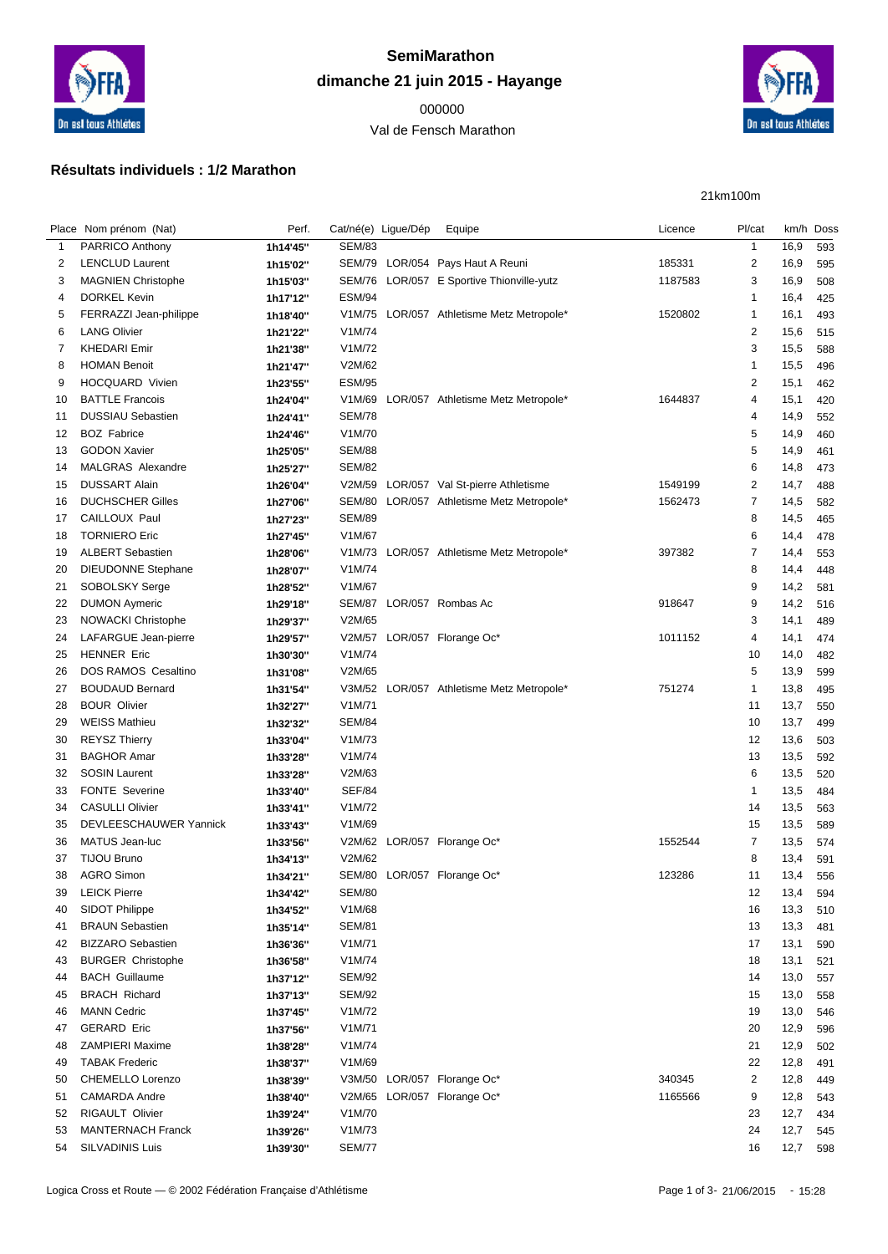

## **SemiMarathon dimanche 21 juin 2015 - Hayange**

## Val de Fensch Marathon



21km100m

## **Résultats individuels : 1/2 Marathon**

|             | Place Nom prénom (Nat)     | Perf.                | Cat/né(e) Ligue/Dép | Equipe                                    | Licence | Pl/cat         | km/h Doss |     |
|-------------|----------------------------|----------------------|---------------------|-------------------------------------------|---------|----------------|-----------|-----|
| $\mathbf 1$ | PARRICO Anthony            | 1h14'45"             | <b>SEM/83</b>       |                                           |         | $\mathbf{1}$   | 16,9      | 593 |
| 2           | <b>LENCLUD Laurent</b>     | 1h15'02"             |                     | SEM/79 LOR/054 Pays Haut A Reuni          | 185331  | $\overline{2}$ | 16,9      | 595 |
| 3           | <b>MAGNIEN Christophe</b>  | 1h15'03"             |                     | SEM/76 LOR/057 E Sportive Thionville-yutz | 1187583 | 3              | 16,9      | 508 |
| 4           | DORKEL Kevin               | 1h17'12"             | <b>ESM/94</b>       |                                           |         | $\mathbf{1}$   | 16,4      | 425 |
| 5           | FERRAZZI Jean-philippe     | 1h18'40"             |                     | V1M/75 LOR/057 Athletisme Metz Metropole* | 1520802 | $\mathbf{1}$   | 16,1      | 493 |
| 6           | <b>LANG Olivier</b>        | 1h21'22"             | V1M/74              |                                           |         | $\overline{c}$ | 15,6      | 515 |
| 7           | <b>KHEDARI Emir</b>        | 1h21'38"             | V1M/72              |                                           |         | 3              | 15,5      | 588 |
| 8           | <b>HOMAN Benoit</b>        | 1h21'47"             | V2M/62              |                                           |         | $\overline{1}$ | 15,5      | 496 |
| 9           | HOCQUARD Vivien            | 1h23'55"             | <b>ESM/95</b>       |                                           |         | $\overline{c}$ | 15,1      | 462 |
| 10          | <b>BATTLE Francois</b>     | 1h24'04"             |                     | V1M/69 LOR/057 Athletisme Metz Metropole* | 1644837 | 4              | 15,1      | 420 |
| 11          | <b>DUSSIAU Sebastien</b>   | 1h24'41"             | <b>SEM/78</b>       |                                           |         | 4              | 14,9      | 552 |
| 12          | <b>BOZ Fabrice</b>         | 1h24'46"             | V1M/70              |                                           |         | 5              | 14,9      | 460 |
| 13          | <b>GODON Xavier</b>        | 1h25'05"             | <b>SEM/88</b>       |                                           |         | 5              | 14,9      | 461 |
| 14          | MALGRAS Alexandre          | 1h25'27"             | <b>SEM/82</b>       |                                           |         | 6              | 14,8      | 473 |
| 15          | <b>DUSSART Alain</b>       | 1h26'04"             |                     | V2M/59 LOR/057 Val St-pierre Athletisme   | 1549199 | $\overline{2}$ | 14,7      | 488 |
| 16          | <b>DUCHSCHER Gilles</b>    | 1h27'06"             | SEM/80              | LOR/057 Athletisme Metz Metropole*        | 1562473 | 7              | 14,5      | 582 |
| 17          | CAILLOUX Paul              | 1h27'23"             | <b>SEM/89</b>       |                                           |         | 8              | 14,5      | 465 |
| 18          | <b>TORNIERO Eric</b>       | 1h27'45"             | V1M/67              |                                           |         | 6              | 14,4      | 478 |
| 19          | <b>ALBERT Sebastien</b>    |                      |                     | V1M/73 LOR/057 Athletisme Metz Metropole* | 397382  | 7              |           |     |
| 20          | <b>DIEUDONNE Stephane</b>  | 1h28'06"             | V1M/74              |                                           |         | 8              | 14,4      | 553 |
|             |                            | 1h28'07"             | V1M/67              |                                           |         |                | 14,4      | 448 |
| 21          | SOBOLSKY Serge             | 1h28'52"             |                     |                                           |         | 9              | 14,2      | 581 |
| 22          | <b>DUMON Aymeric</b>       | 1h29'18"             |                     | SEM/87 LOR/057 Rombas Ac                  | 918647  | 9              | 14,2      | 516 |
| 23          | <b>NOWACKI Christophe</b>  | 1h29'37"             | V2M/65              |                                           |         | 3              | 14,1      | 489 |
| 24          | LAFARGUE Jean-pierre       | 1h29'57"             |                     | V2M/57 LOR/057 Florange Oc*               | 1011152 | 4              | 14,1      | 474 |
| 25          | <b>HENNER Eric</b>         | 1h30'30"             | V1M/74              |                                           |         | 10             | 14,0      | 482 |
| 26          | <b>DOS RAMOS Cesaltino</b> | 1h31'08"             | V2M/65              |                                           |         | 5              | 13,9      | 599 |
| 27          | <b>BOUDAUD Bernard</b>     | 1h31'54"             |                     | V3M/52 LOR/057 Athletisme Metz Metropole* | 751274  | $\mathbf{1}$   | 13,8      | 495 |
| 28          | <b>BOUR Olivier</b>        | 1h32'27"             | V1M/71              |                                           |         | 11             | 13,7      | 550 |
| 29          | <b>WEISS Mathieu</b>       | 1h32'32"             | <b>SEM/84</b>       |                                           |         | 10             | 13,7      | 499 |
| 30          | <b>REYSZ Thierry</b>       | 1h33'04"             | V1M/73              |                                           |         | 12             | 13,6      | 503 |
| 31          | <b>BAGHOR Amar</b>         | 1h33'28"             | V1M/74              |                                           |         | 13             | 13,5      | 592 |
| 32          | <b>SOSIN Laurent</b>       | 1h33'28"             | V2M/63              |                                           |         | 6              | 13,5      | 520 |
| 33          | <b>FONTE Severine</b>      | 1h33'40"             | <b>SEF/84</b>       |                                           |         | 1              | 13,5      | 484 |
| 34          | <b>CASULLI Olivier</b>     | 1h33'41"             | V1M/72              |                                           |         | 14             | 13,5      | 563 |
| 35          | DEVLEESCHAUWER Yannick     | 1h33'43"             | V1M/69              |                                           |         | 15             | 13,5      | 589 |
| 36          | MATUS Jean-luc             | 1h33'56"             |                     | V2M/62 LOR/057 Florange Oc*               | 1552544 | 7              | 13,5      | 574 |
| 37          | <b>TIJOU Bruno</b>         | 1h34'13"             | V2M/62              |                                           |         | 8              | 13,4      | 591 |
| 38          | <b>AGRO Simon</b>          | 1h34'21"             |                     | SEM/80 LOR/057 Florange Oc*               | 123286  | 11             | 13,4      | 556 |
| 39          | <b>LEICK Pierre</b>        | 1h34'42"             | <b>SEM/80</b>       |                                           |         | 12             | 13,4      | 594 |
| 40          | SIDOT Philippe             | 1h34'52"             | V1M/68              |                                           |         | 16             | 13,3      | 510 |
| 41          | <b>BRAUN Sebastien</b>     | 1h35'14"             | <b>SEM/81</b>       |                                           |         | 13             | 13,3      | 481 |
| 42          | <b>BIZZARO Sebastien</b>   | 1h36'36"             | V1M/71              |                                           |         | 17             | 13,1      | 590 |
| 43          | <b>BURGER Christophe</b>   | 1h36'58"             | V1M/74              |                                           |         | 18             | 13,1      | 521 |
| 44          | <b>BACH Guillaume</b>      | 1h37'12"             | <b>SEM/92</b>       |                                           |         | 14             | 13,0      | 557 |
| 45          | <b>BRACH Richard</b>       | 1h37'13"             | <b>SEM/92</b>       |                                           |         | 15             | 13,0      | 558 |
| 46          | <b>MANN Cedric</b>         | 1h37'45"             | V1M/72              |                                           |         | 19             | 13,0      | 546 |
| 47          | <b>GERARD Eric</b>         | 1h37'56"             | V1M/71              |                                           |         | 20             | 12,9      | 596 |
| 48          | <b>ZAMPIERI Maxime</b>     | 1h38'28"             | V1M/74              |                                           |         | 21             | 12,9      | 502 |
| 49          | <b>TABAK Frederic</b>      | 1h38'37"             | V1M/69              |                                           |         | 22             | 12,8      | 491 |
| 50          | CHEMELLO Lorenzo           | 1h38'39"             |                     | V3M/50 LOR/057 Florange Oc*               | 340345  | 2              | 12,8      | 449 |
| 51          | <b>CAMARDA Andre</b>       | 1h38'40"             |                     | V2M/65 LOR/057 Florange Oc*               | 1165566 | 9              | 12,8      | 543 |
| 52          | <b>RIGAULT Olivier</b>     | 1h39'24"             | V1M/70              |                                           |         | 23             | 12,7      | 434 |
| 53          | MANTERNACH Franck          |                      | V1M/73              |                                           |         | 24             | 12,7      | 545 |
| 54          | <b>SILVADINIS Luis</b>     | 1h39'26"<br>1h39'30" | <b>SEM/77</b>       |                                           |         | 16             | 12,7      | 598 |
|             |                            |                      |                     |                                           |         |                |           |     |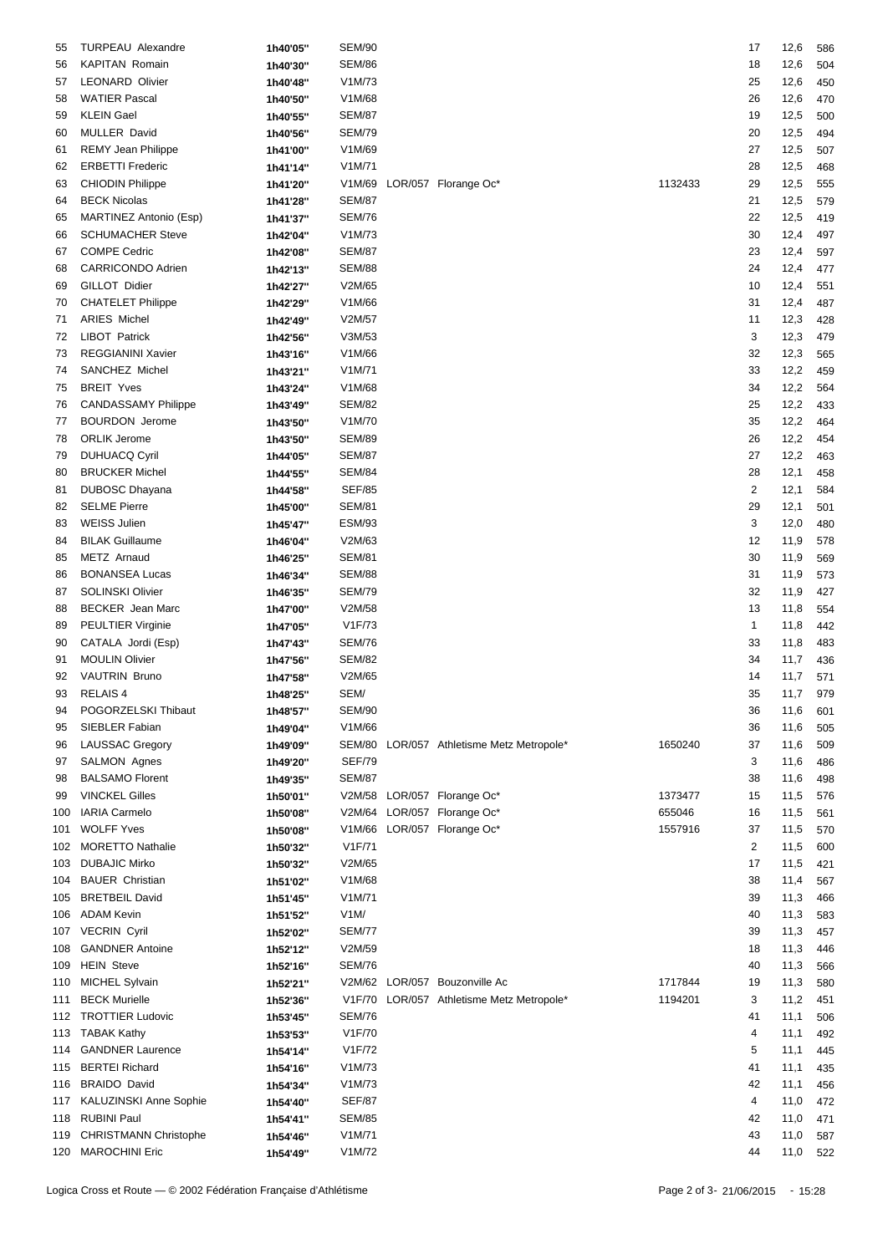| 55  | TURPEAU Alexandre            | 1h40'05" | <b>SEM/90</b> |                                           |         | 17                      | 12,6     | 586 |
|-----|------------------------------|----------|---------------|-------------------------------------------|---------|-------------------------|----------|-----|
|     |                              |          |               |                                           |         |                         |          |     |
| 56  | <b>KAPITAN Romain</b>        | 1h40'30" | <b>SEM/86</b> |                                           |         | 18                      | 12,6     | 504 |
| 57  | <b>LEONARD Olivier</b>       | 1h40'48" | V1M/73        |                                           |         | 25                      | 12,6     | 450 |
| 58  | <b>WATIER Pascal</b>         | 1h40'50" | V1M/68        |                                           |         | 26                      | 12,6     | 470 |
| 59  | <b>KLEIN Gael</b>            | 1h40'55" | <b>SEM/87</b> |                                           |         | 19                      | 12,5     | 500 |
| 60  | MULLER David                 | 1h40'56" | <b>SEM/79</b> |                                           |         | 20                      | 12,5     | 494 |
| 61  | <b>REMY Jean Philippe</b>    | 1h41'00" | V1M/69        |                                           |         | 27                      | 12,5     | 507 |
| 62  | <b>ERBETTI Frederic</b>      | 1h41'14" | V1M/71        |                                           |         | 28                      | 12,5     | 468 |
| 63  | <b>CHIODIN Philippe</b>      |          | V1M/69        | LOR/057 Florange Oc*                      | 1132433 | 29                      | 12,5     | 555 |
|     |                              | 1h41'20" |               |                                           |         |                         |          |     |
| 64  | <b>BECK Nicolas</b>          | 1h41'28" | <b>SEM/87</b> |                                           |         | 21                      | 12,5     | 579 |
| 65  | MARTINEZ Antonio (Esp)       | 1h41'37" | <b>SEM/76</b> |                                           |         | 22                      | 12,5     | 419 |
| 66  | <b>SCHUMACHER Steve</b>      | 1h42'04" | V1M/73        |                                           |         | 30                      | 12,4     | 497 |
| 67  | <b>COMPE Cedric</b>          | 1h42'08" | <b>SEM/87</b> |                                           |         | 23                      | 12,4     | 597 |
| 68  | CARRICONDO Adrien            | 1h42'13" | <b>SEM/88</b> |                                           |         | 24                      | 12,4     | 477 |
| 69  | GILLOT Didier                | 1h42'27" | V2M/65        |                                           |         | 10                      | 12,4     | 551 |
| 70  | <b>CHATELET Philippe</b>     | 1h42'29" | V1M/66        |                                           |         | 31                      | 12,4     | 487 |
| 71  | <b>ARIES Michel</b>          | 1h42'49" | V2M/57        |                                           |         | 11                      | 12,3     | 428 |
| 72  | <b>LIBOT Patrick</b>         |          | V3M/53        |                                           |         | 3                       | 12,3     | 479 |
|     |                              | 1h42'56" |               |                                           |         |                         |          |     |
| 73  | <b>REGGIANINI Xavier</b>     | 1h43'16" | V1M/66        |                                           |         | 32                      | 12,3     | 565 |
| 74  | SANCHEZ Michel               | 1h43'21" | V1M/71        |                                           |         | 33                      | 12,2     | 459 |
| 75  | <b>BREIT Yves</b>            | 1h43'24" | V1M/68        |                                           |         | 34                      | 12,2     | 564 |
| 76  | <b>CANDASSAMY Philippe</b>   | 1h43'49" | <b>SEM/82</b> |                                           |         | 25                      | 12,2     | 433 |
| 77  | <b>BOURDON</b> Jerome        | 1h43'50" | V1M/70        |                                           |         | 35                      | 12,2     | 464 |
| 78  | <b>ORLIK Jerome</b>          | 1h43'50" | <b>SEM/89</b> |                                           |         | 26                      | 12,2     | 454 |
| 79  | DUHUACQ Cyril                | 1h44'05" | <b>SEM/87</b> |                                           |         | 27                      | 12,2     | 463 |
| 80  | <b>BRUCKER Michel</b>        | 1h44'55" | <b>SEM/84</b> |                                           |         | 28                      | 12,1     | 458 |
| 81  | DUBOSC Dhayana               | 1h44'58" | <b>SEF/85</b> |                                           |         | $\overline{\mathbf{c}}$ | 12,1     | 584 |
|     | <b>SELME Pierre</b>          |          |               |                                           |         |                         |          |     |
| 82  |                              | 1h45'00" | <b>SEM/81</b> |                                           |         | 29                      | 12,1     | 501 |
| 83  | <b>WEISS Julien</b>          | 1h45'47" | <b>ESM/93</b> |                                           |         | 3                       | 12,0     | 480 |
| 84  | <b>BILAK Guillaume</b>       | 1h46'04" | V2M/63        |                                           |         | 12                      | 11,9     | 578 |
| 85  | METZ Arnaud                  | 1h46'25" | <b>SEM/81</b> |                                           |         | 30                      | 11,9     | 569 |
| 86  | <b>BONANSEA Lucas</b>        | 1h46'34" | <b>SEM/88</b> |                                           |         | 31                      | 11,9     | 573 |
| 87  | <b>SOLINSKI Olivier</b>      | 1h46'35" | <b>SEM/79</b> |                                           |         | 32                      | 11,9     | 427 |
| 88  | <b>BECKER</b> Jean Marc      | 1h47'00" | V2M/58        |                                           |         | 13                      | 11,8     | 554 |
| 89  | <b>PEULTIER Virginie</b>     | 1h47'05" | V1F/73        |                                           |         | 1                       | 11,8     | 442 |
| 90  | CATALA Jordi (Esp)           | 1h47'43" | <b>SEM/76</b> |                                           |         | 33                      | 11,8     | 483 |
|     | <b>MOULIN Olivier</b>        |          | <b>SEM/82</b> |                                           |         |                         | 11,7     |     |
| 91  |                              | 1h47'56" |               |                                           |         | 34                      |          | 436 |
| 92  | <b>VAUTRIN Bruno</b>         | 1h47'58" | V2M/65        |                                           |         | 14                      | 11,7     | 571 |
| 93  | <b>RELAIS4</b>               | 1h48'25" | SEM/          |                                           |         | 35                      | 11,7     | 979 |
| 94  | POGORZELSKI Thibaut          | 1h48'57" | <b>SEM/90</b> |                                           |         | 36                      | 11,6 601 |     |
| 95  | SIEBLER Fabian               | 1h49'04" | V1M/66        |                                           |         | 36                      | 11,6     | 505 |
| 96  | <b>LAUSSAC Gregory</b>       | 1h49'09" |               | SEM/80 LOR/057 Athletisme Metz Metropole* | 1650240 | 37                      | 11,6     | 509 |
| 97  | <b>SALMON Agnes</b>          | 1h49'20" | <b>SEF/79</b> |                                           |         | 3                       | 11,6     | 486 |
| 98  | <b>BALSAMO Florent</b>       | 1h49'35" | <b>SEM/87</b> |                                           |         | 38                      | 11,6     | 498 |
| 99  | <b>VINCKEL Gilles</b>        | 1h50'01" |               | V2M/58 LOR/057 Florange Oc*               | 1373477 | 15                      | 11,5     | 576 |
|     | <b>IARIA Carmelo</b>         |          |               | V2M/64 LOR/057 Florange Oc*               | 655046  |                         | 11,5     |     |
| 100 |                              | 1h50'08" |               |                                           |         | 16                      |          | 561 |
| 101 | <b>WOLFF Yves</b>            | 1h50'08" |               | V1M/66 LOR/057 Florange Oc*               | 1557916 | 37                      | 11,5     | 570 |
| 102 | <b>MORETTO Nathalie</b>      | 1h50'32" | V1F/71        |                                           |         | 2                       | 11,5     | 600 |
| 103 | <b>DUBAJIC Mirko</b>         | 1h50'32" | V2M/65        |                                           |         | 17                      | 11,5     | 421 |
| 104 | <b>BAUER Christian</b>       | 1h51'02" | V1M/68        |                                           |         | 38                      | 11,4     | 567 |
| 105 | <b>BRETBEIL David</b>        | 1h51'45" | V1M/71        |                                           |         | 39                      | 11,3     | 466 |
| 106 | ADAM Kevin                   | 1h51'52" | V1M/          |                                           |         | 40                      | 11,3     | 583 |
|     | 107 VECRIN Cyril             | 1h52'02" | <b>SEM/77</b> |                                           |         | 39                      | 11,3     | 457 |
| 108 | <b>GANDNER Antoine</b>       | 1h52'12" | V2M/59        |                                           |         | 18                      | 11,3     | 446 |
|     |                              |          |               |                                           |         |                         |          |     |
| 109 | <b>HEIN Steve</b>            | 1h52'16" | <b>SEM/76</b> |                                           |         | 40                      | 11,3     | 566 |
|     | 110 MICHEL Sylvain           | 1h52'21" |               | V2M/62 LOR/057 Bouzonville Ac             | 1717844 | 19                      | 11,3     | 580 |
| 111 | <b>BECK Murielle</b>         | 1h52'36" |               | V1F/70 LOR/057 Athletisme Metz Metropole* | 1194201 | 3                       | 11,2     | 451 |
|     | 112 TROTTIER Ludovic         | 1h53'45" | <b>SEM/76</b> |                                           |         | 41                      | 11,1     | 506 |
|     | 113 TABAK Kathy              | 1h53'53" | V1F/70        |                                           |         | 4                       | 11,1     | 492 |
| 114 | <b>GANDNER Laurence</b>      | 1h54'14" | V1F/72        |                                           |         | 5                       | 11,1     | 445 |
|     | 115 BERTEI Richard           | 1h54'16" | V1M/73        |                                           |         | 41                      | 11,1     | 435 |
| 116 | <b>BRAIDO David</b>          | 1h54'34" | V1M/73        |                                           |         | 42                      | 11,1     | 456 |
|     | 117 KALUZINSKI Anne Sophie   | 1h54'40" | <b>SEF/87</b> |                                           |         | 4                       | 11,0     | 472 |
|     | <b>RUBINI Paul</b>           |          | <b>SEM/85</b> |                                           |         |                         |          |     |
| 118 |                              | 1h54'41" |               |                                           |         | 42                      | 11,0     | 471 |
| 119 | <b>CHRISTMANN Christophe</b> | 1h54'46" | V1M/71        |                                           |         | 43                      | 11,0     | 587 |
|     | 120 MAROCHINI Eric           | 1h54'49" | V1M/72        |                                           |         | 44                      | 11,0 522 |     |